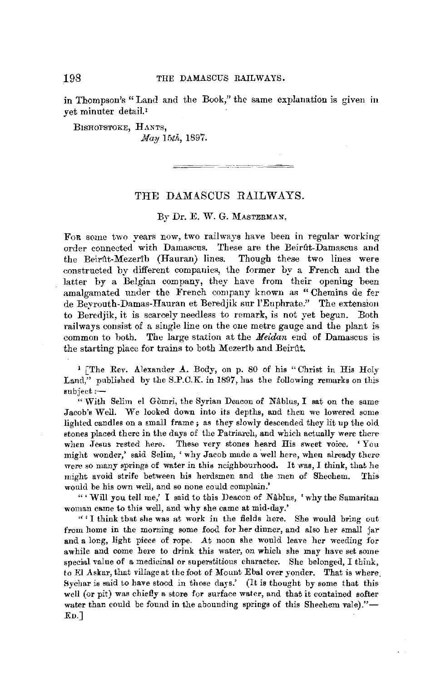**in** Thompson's "Land and the Book," the same explanation is given **in**  vet minuter detail.<sup>1</sup>

BlSROPSTOKE, HANTS, *May 15th,* 1897.

## THE DAMASCUS RAILWAYS.

ويتعصره ويرتب

## By Dr. E. W. G. MASTERMAN.

Foa some two years now, two railways have been in regular working order connected with Damascus. These are the Beirût-Damascus and the Beirût-Mezerib (Hauran) lines. Though these two lines were constructed by different companies, the former by a French and the latter by a Belgian company, they have from their opening been amalgamated under the French company known as "Chemins de fer de Bevrouth-Damas-Hauran et Beredjik sur l'Euphrate." The extension to Beredjik, it is scarcely needless to remark, is not yet begun. Both railways consist of a single line on the one metre gauge and the plant is common to both. The large station at the *Meidan* end of Damascus is the starting place for trains to both Mezerib and Beirut.

<sup>1</sup> [The Rev. Alexander  $\Lambda$ . Body, on p. 80 of his "Christ in His Holy Land," published by the S.P.C.K. in 1897, has the following remarks on this subject:-

" With Selim el Gòmri, the Syrian Deacon of Nâblus, I sat on the same Jacob's Well. We looked down into its depths, and then we lowered some lighted candles on a Emall frame ; as they slowly descended they lit up the old stones placed there in the days of the Patriarch, and which actually were there when Jesus rested here. These very stones heard His sweet voice. 'You might wonder,' said Selim, 'why Jacob made a well here, when already there were so many springs of water in this neighbourhood. It was, I think, that he might avoid strife between **his** herdsmen and the men of Shechem. This would be his own well, and so none could complain.'

" 'Will you tell me,' I said to this Deacon of Nablus, 'why the Samaritan woman came to this well, and why she came at mid-day.'

" ' I think that she was at work in the fields here. She would bring out from home in the morning some food for her dinner, and also her small jar and a long, light piece of rope. At noon she would leave her weeding for awhile and come here to drink this water, on which she may have set some specinl value of a medicinal or superstitious character. She belonged, I think, to El Askar, that village at the foot of Mount Ebal over yonder. That is where 8ychar is said to have stood in those days.' (It is thought by some that this well (or pit) was chiefly a store for surface water, and that it contained softer water than could be found in the abounding springs of this Shechem vale)."-En.J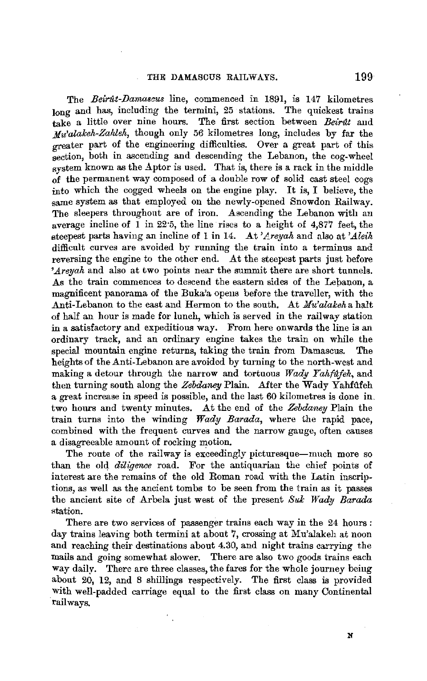The *Beirat-Damascus* line, commenced in 1891, is 147 kilometres long and has, including the termini, 25 stations. The quickest trains take a little over nine hours. The first section between *Beirat* and *.Mu'alakeh-Zahleh,* though only 56 kilometres long, includes by far the greater part of the engineering difficulties. Over a great part of this section, both in ascending and descending the Lebanon, the cog-wheel system known as the Aptor is used. That is, there is a rack in the middle of the permanent way composed of a double row of solid cast steel cogs into which the cogged wheels on the engine play. It is, I believe, the same system as that employed on the newly-opened Snowdon Railway. The sleepers throughout are of iron. Ascending the Lebanon with an average incline of 1 in 22·5, the line rises to a height of 4,877 feet, the steepest parts having an incline of 1 in 14. .At *'Lreyah* and also at *'Aleih*  difficult curves are avoided by running the train into a terminus and reversing the engine to the other end. At the steepest parts just before *'Areyah* and also at two points near the summit there are short tunnels. As the train commences to descend the eastern sides of the Lepanon, a magnificent panorama of the Buka'a opens before the traveller, with the Anti-Lebanon to the east and Hermon to the south. At *Mu'alakeha* halt of half an hour is made for lunch, which is served in the railway station in a satisfactory and expeditious way. From here onwards the line is an ordinary track, and an ordinary engine takes the train on while the special mountain engine returns, taking the train from Damascus. The heights of the Anti-Lebanon are avoided by turning to the north-west and making a detour through the narrow and tortuous *Wady Yahfufeh,* and then turning south along the *Zebdaney* Plain. After the Wady Yahfilfeh a great increase in speed is possible, and the last 60 kilometres is done in\_ two hours and twenty minutes. At the end of the *Zebdaney* Plain the train turns into the winding *Wady Barada,* where the rapid pace, combined with the frequent curves and the narrow gauge, often causes a disagreeable amount of rocking motion.

The route of the railway is exceedingly picturesque-much more so than the old *diligence* road. For the antiquarian the chief points of interest are the remains of the old Roman road with the Latin inscriptions, as well as the ancient tombs to be seen from the train as it passes the ancient site of Arbela just west of the present Suk Wady Barada station.

There are two services of passenger trains each way in the 24 hours : day trains leaving both termini at about 7, crossing at Mu'alakeh at noon and reaching their destinations about 4.30, and night trains carrying the mails and going somewhat slower. There are also two goods trains each way daily. There are three classes, the fares for the whole journey being about 20, 12, and 8 shillings respectively. The first class is provided with well-padded carriage equal to the first class on many Continental railways.

N